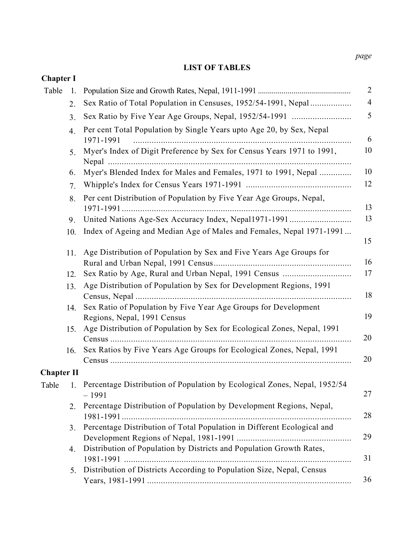#### LIST OF TABLES

| <b>Chapter I</b>  |     |                                                                                                |
|-------------------|-----|------------------------------------------------------------------------------------------------|
| Table             | 1.  |                                                                                                |
|                   | 2.  | Sex Ratio of Total Population in Censuses, 1952/54-1991, Nepal                                 |
|                   | 3.  | Sex Ratio by Five Year Age Groups, Nepal, 1952/54-1991                                         |
|                   | 4.  | Per cent Total Population by Single Years upto Age 20, by Sex, Nepal<br>1971-1991              |
|                   | 5.  | Myer's Index of Digit Preference by Sex for Census Years 1971 to 1991,                         |
|                   | 6.  | Myer's Blended Index for Males and Females, 1971 to 1991, Nepal                                |
|                   | 7.  |                                                                                                |
|                   | 8.  | Per cent Distribution of Population by Five Year Age Groups, Nepal,                            |
|                   | 9.  | United Nations Age-Sex Accuracy Index, Nepal1971-1991                                          |
|                   | 10. | Index of Ageing and Median Age of Males and Females, Nepal 1971-1991                           |
|                   | 11. | Age Distribution of Population by Sex and Five Years Age Groups for                            |
|                   | 12. |                                                                                                |
|                   | 13. | Age Distribution of Population by Sex for Development Regions, 1991                            |
|                   | 14. | Sex Ratio of Population by Five Year Age Groups for Development<br>Regions, Nepal, 1991 Census |
|                   | 15. | Age Distribution of Population by Sex for Ecological Zones, Nepal, 1991                        |
|                   | 16. | Sex Ratios by Five Years Age Groups for Ecological Zones, Nepal, 1991                          |
| <b>Chapter II</b> |     |                                                                                                |
| Table             |     | 1. Percentage Distribution of Population by Ecological Zones, Nepal, 1952/54<br>$-1991$        |
|                   | 2.  | Percentage Distribution of Population by Development Regions, Nepal,                           |
|                   | 3.  | Percentage Distribution of Total Population in Different Ecological and                        |
|                   | 4.  | Distribution of Population by Districts and Population Growth Rates,                           |
|                   | 5.  | Distribution of Districts According to Population Size, Nepal, Census                          |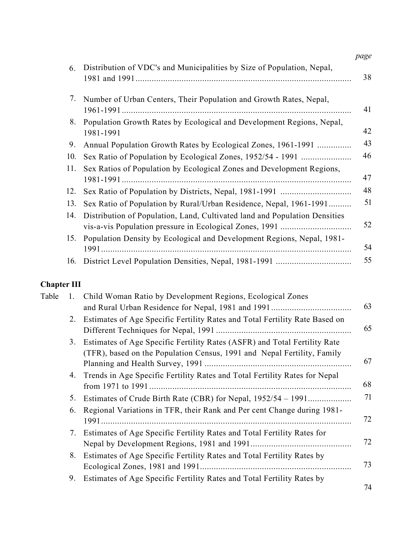| 6.  | Distribution of VDC's and Municipalities by Size of Population, Nepal,             |
|-----|------------------------------------------------------------------------------------|
| 7.  | Number of Urban Centers, Their Population and Growth Rates, Nepal,                 |
| 8.  | Population Growth Rates by Ecological and Development Regions, Nepal,<br>1981-1991 |
| 9.  | Annual Population Growth Rates by Ecological Zones, 1961-1991                      |
| 10. | Sex Ratio of Population by Ecological Zones, 1952/54 - 1991                        |
| 11. | Sex Ratios of Population by Ecological Zones and Development Regions,              |
| 12. |                                                                                    |
| 13. | Sex Ratio of Population by Rural/Urban Residence, Nepal, 1961-1991                 |
| 14. | Distribution of Population, Land, Cultivated land and Population Densities         |
| 15. | Population Density by Ecological and Development Regions, Nepal, 1981-             |
| 16. |                                                                                    |

## Chapter III

| Table |    | 1. Child Woman Ratio by Development Regions, Ecological Zones                                                                                        |    |
|-------|----|------------------------------------------------------------------------------------------------------------------------------------------------------|----|
|       |    |                                                                                                                                                      | 63 |
|       | 2. | Estimates of Age Specific Fertility Rates and Total Fertility Rate Based on                                                                          | 65 |
|       | 3. | Estimates of Age Specific Fertility Rates (ASFR) and Total Fertility Rate<br>(TFR), based on the Population Census, 1991 and Nepal Fertility, Family | 67 |
|       |    | 4. Trends in Age Specific Fertility Rates and Total Fertility Rates for Nepal                                                                        | 68 |
|       | 5. | Estimates of Crude Birth Rate (CBR) for Nepal, 1952/54 – 1991                                                                                        | 71 |
|       | 6. | Regional Variations in TFR, their Rank and Per cent Change during 1981-                                                                              | 72 |
|       | 7. | Estimates of Age Specific Fertility Rates and Total Fertility Rates for                                                                              | 72 |
|       | 8. | Estimates of Age Specific Fertility Rates and Total Fertility Rates by                                                                               | 73 |
|       | 9. | Estimates of Age Specific Fertility Rates and Total Fertility Rates by                                                                               | 71 |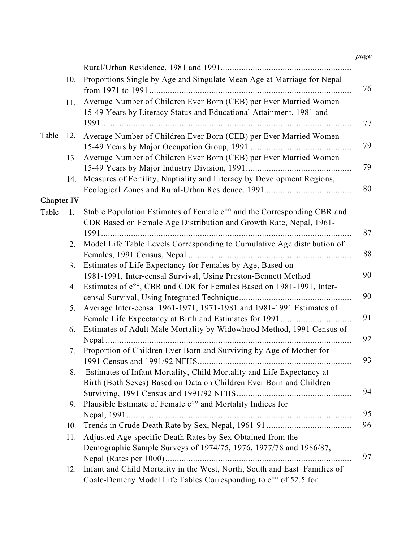|                   | 10. | Proportions Single by Age and Singulate Mean Age at Marriage for Nepal                                                                                    |
|-------------------|-----|-----------------------------------------------------------------------------------------------------------------------------------------------------------|
|                   | 11. | Average Number of Children Ever Born (CEB) per Ever Married Women<br>15-49 Years by Literacy Status and Educational Attainment, 1981 and                  |
|                   |     |                                                                                                                                                           |
| Table             | 12. | Average Number of Children Ever Born (CEB) per Ever Married Women                                                                                         |
|                   | 13. | Average Number of Children Ever Born (CEB) per Ever Married Women                                                                                         |
|                   |     |                                                                                                                                                           |
|                   | 14. | Measures of Fertility, Nuptiality and Literacy by Development Regions,                                                                                    |
| <b>Chapter IV</b> |     |                                                                                                                                                           |
| Table             | 1.  | Stable Population Estimates of Female e <sup>oo</sup> and the Corresponding CBR and<br>CDR Based on Female Age Distribution and Growth Rate, Nepal, 1961- |
|                   |     |                                                                                                                                                           |
|                   | 2.  | Model Life Table Levels Corresponding to Cumulative Age distribution of                                                                                   |
|                   | 3.  | Estimates of Life Expectancy for Females by Age, Based on                                                                                                 |
|                   |     | 1981-1991, Inter-censal Survival, Using Preston-Bennett Method                                                                                            |
|                   | 4.  | Estimates of e <sup>oo</sup> , CBR and CDR for Females Based on 1981-1991, Inter-                                                                         |
|                   |     |                                                                                                                                                           |
|                   | 5.  | Average Inter-censal 1961-1971, 1971-1981 and 1981-1991 Estimates of                                                                                      |
|                   | 6.  | Female Life Expectancy at Birth and Estimates for 1991<br>Estimates of Adult Male Mortality by Widowhood Method, 1991 Census of                           |
|                   |     |                                                                                                                                                           |
|                   | 7.  | Proportion of Children Ever Born and Surviving by Age of Mother for                                                                                       |
|                   | 8.  | Estimates of Infant Mortality, Child Mortality and Life Expectancy at<br>Birth (Both Sexes) Based on Data on Children Ever Born and Children              |
|                   |     |                                                                                                                                                           |
|                   | 9.  | Plausible Estimate of Female e <sup>oo</sup> and Mortality Indices for                                                                                    |
|                   |     |                                                                                                                                                           |
|                   | 10. |                                                                                                                                                           |
|                   | 11. | Adjusted Age-specific Death Rates by Sex Obtained from the<br>Demographic Sample Surveys of 1974/75, 1976, 1977/78 and 1986/87,                           |
|                   | 12. | Infant and Child Mortality in the West, North, South and East Families of                                                                                 |
|                   |     | Coale-Demeny Model Life Tables Corresponding to e <sup>oo</sup> of 52.5 for                                                                               |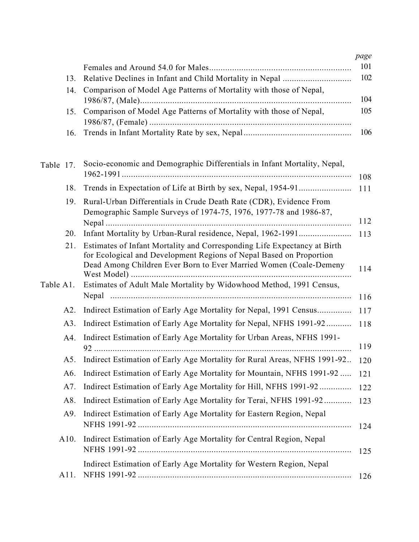|           |      |                                                                                                                                                                                                                      | page |
|-----------|------|----------------------------------------------------------------------------------------------------------------------------------------------------------------------------------------------------------------------|------|
|           |      |                                                                                                                                                                                                                      | 101  |
|           | 13.  |                                                                                                                                                                                                                      | 102  |
|           | 14.  | Comparison of Model Age Patterns of Mortality with those of Nepal,                                                                                                                                                   |      |
|           |      |                                                                                                                                                                                                                      | 104  |
|           | 15.  | Comparison of Model Age Patterns of Mortality with those of Nepal,                                                                                                                                                   | 105  |
|           | 16.  |                                                                                                                                                                                                                      | 106  |
| Table 17. |      | Socio-economic and Demographic Differentials in Infant Mortality, Nepal,                                                                                                                                             | 108  |
|           | 18.  |                                                                                                                                                                                                                      | 111  |
|           | 19.  | Rural-Urban Differentials in Crude Death Rate (CDR), Evidence From<br>Demographic Sample Surveys of 1974-75, 1976, 1977-78 and 1986-87,                                                                              | 112  |
|           | 20.  | Infant Mortality by Urban-Rural residence, Nepal, 1962-1991                                                                                                                                                          | 113  |
|           | 21.  | Estimates of Infant Mortality and Corresponding Life Expectancy at Birth<br>for Ecological and Development Regions of Nepal Based on Proportion<br>Dead Among Children Ever Born to Ever Married Women (Coale-Demeny | 114  |
| Table A1. |      | Estimates of Adult Male Mortality by Widowhood Method, 1991 Census,                                                                                                                                                  | 116  |
|           | A2.  | Indirect Estimation of Early Age Mortality for Nepal, 1991 Census                                                                                                                                                    | 117  |
|           | A3.  | Indirect Estimation of Early Age Mortality for Nepal, NFHS 1991-92                                                                                                                                                   | 118  |
|           | A4.  | Indirect Estimation of Early Age Mortality for Urban Areas, NFHS 1991-                                                                                                                                               | 119  |
|           |      | Indirect Estimation of Early Age Mortality for Rural Areas, NFHS 1991-92 120                                                                                                                                         |      |
|           | A6.  | Indirect Estimation of Early Age Mortality for Mountain, NFHS 1991-92                                                                                                                                                | 121  |
|           | A7.  | Indirect Estimation of Early Age Mortality for Hill, NFHS 1991-92                                                                                                                                                    | 122  |
|           | A8.  | Indirect Estimation of Early Age Mortality for Terai, NFHS 1991-92                                                                                                                                                   | 123  |
|           | A9.  | Indirect Estimation of Early Age Mortality for Eastern Region, Nepal                                                                                                                                                 | 124  |
|           | A10. | Indirect Estimation of Early Age Mortality for Central Region, Nepal                                                                                                                                                 | 125  |
|           | A11. | Indirect Estimation of Early Age Mortality for Western Region, Nepal                                                                                                                                                 | 126  |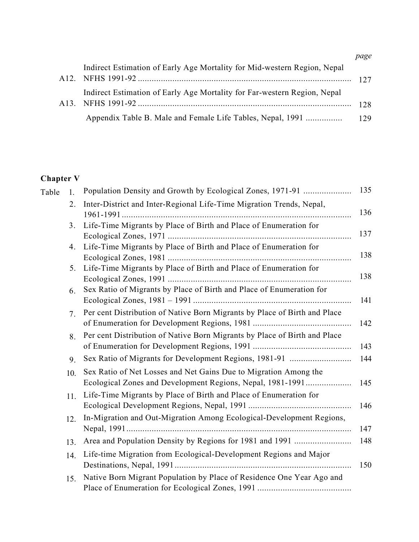|                                                                          | page |
|--------------------------------------------------------------------------|------|
| Indirect Estimation of Early Age Mortality for Mid-western Region, Nepal |      |
| Indirect Estimation of Early Age Mortality for Far-western Region, Nepal | 128  |
| Appendix Table B. Male and Female Life Tables, Nepal, 1991               | 129  |

# Chapter V

| Table | 1.             | Population Density and Growth by Ecological Zones, 1971-91                                                                     | 135 |
|-------|----------------|--------------------------------------------------------------------------------------------------------------------------------|-----|
|       | 2.             | Inter-District and Inter-Regional Life-Time Migration Trends, Nepal,                                                           | 136 |
|       | 3.             | Life-Time Migrants by Place of Birth and Place of Enumeration for                                                              | 137 |
|       | 4.             | Life-Time Migrants by Place of Birth and Place of Enumeration for                                                              | 138 |
|       |                | 5. Life-Time Migrants by Place of Birth and Place of Enumeration for                                                           | 138 |
|       | 6.             | Sex Ratio of Migrants by Place of Birth and Place of Enumeration for                                                           | 141 |
|       | 7 <sub>1</sub> | Per cent Distribution of Native Born Migrants by Place of Birth and Place                                                      | 142 |
|       | 8.             | Per cent Distribution of Native Born Migrants by Place of Birth and Place                                                      | 143 |
|       | 9.             |                                                                                                                                | 144 |
|       | 10.            | Sex Ratio of Net Losses and Net Gains Due to Migration Among the<br>Ecological Zones and Development Regions, Nepal, 1981-1991 | 145 |
|       | 11.            | Life-Time Migrants by Place of Birth and Place of Enumeration for                                                              | 146 |
|       | 12.            | In-Migration and Out-Migration Among Ecological-Development Regions,                                                           | 147 |
|       | 13.            |                                                                                                                                | 148 |
|       | 14.            | Life-time Migration from Ecological-Development Regions and Major                                                              | 150 |
|       | 15.            | Native Born Migrant Population by Place of Residence One Year Ago and                                                          |     |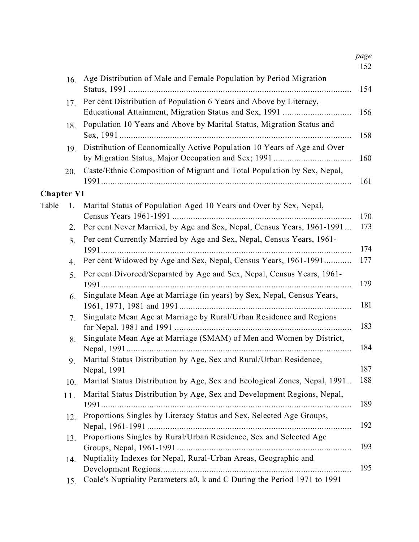| 16.               | Age Distribution of Male and Female Population by Period Migration                                                           |
|-------------------|------------------------------------------------------------------------------------------------------------------------------|
| 17.               | Per cent Distribution of Population 6 Years and Above by Literacy,<br>Educational Attainment, Migration Status and Sex, 1991 |
| 18.               | Population 10 Years and Above by Marital Status, Migration Status and                                                        |
| 19.               | Distribution of Economically Active Population 10 Years of Age and Over                                                      |
| 20.               | Caste/Ethnic Composition of Migrant and Total Population by Sex, Nepal,                                                      |
| <b>Chapter VI</b> |                                                                                                                              |
| Table<br>1.       | Marital Status of Population Aged 10 Years and Over by Sex, Nepal,                                                           |
| 2.                | Per cent Never Married, by Age and Sex, Nepal, Census Years, 1961-1991                                                       |
| 3.                | Per cent Currently Married by Age and Sex, Nepal, Census Years, 1961-                                                        |
| 4.                | Per cent Widowed by Age and Sex, Nepal, Census Years, 1961-1991                                                              |
| 5.                | Per cent Divorced/Separated by Age and Sex, Nepal, Census Years, 1961-                                                       |
| 6.                | Singulate Mean Age at Marriage (in years) by Sex, Nepal, Census Years,                                                       |
| 7.                | Singulate Mean Age at Marriage by Rural/Urban Residence and Regions                                                          |
| 8.                | Singulate Mean Age at Marriage (SMAM) of Men and Women by District,                                                          |
| 9.                | Marital Status Distribution by Age, Sex and Rural/Urban Residence,<br>Nepal, 1991                                            |
| 10.               | Marital Status Distribution by Age, Sex and Ecological Zones, Nepal, 1991                                                    |
| 11.               | Marital Status Distribution by Age, Sex and Development Regions, Nepal,                                                      |
| 12.               | Proportions Singles by Literacy Status and Sex, Selected Age Groups,                                                         |
| 13.               | Proportions Singles by Rural/Urban Residence, Sex and Selected Age                                                           |
| 14.               | Nuptiality Indexes for Nepal, Rural-Urban Areas, Geographic and                                                              |
| 15.               | Coale's Nuptiality Parameters a0, k and C During the Period 1971 to 1991                                                     |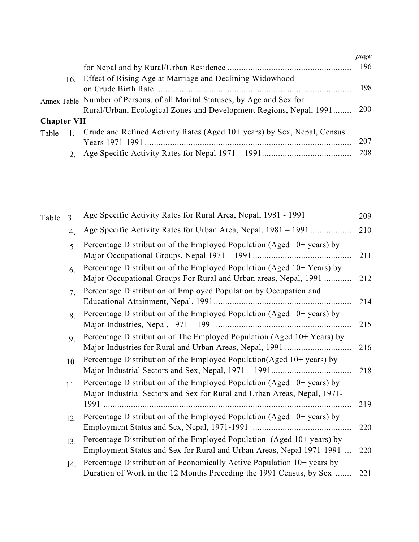|                    |     |                                                                            | page |
|--------------------|-----|----------------------------------------------------------------------------|------|
|                    |     |                                                                            | 196  |
|                    | 16. | Effect of Rising Age at Marriage and Declining Widowhood                   |      |
|                    |     |                                                                            | 198  |
|                    |     | Annex Table Number of Persons, of all Marital Statuses, by Age and Sex for |      |
|                    |     | Rural/Urban, Ecological Zones and Development Regions, Nepal, 1991         | 200  |
| <b>Chapter VII</b> |     |                                                                            |      |
| Table              |     | Crude and Refined Activity Rates (Aged 10+ years) by Sex, Nepal, Census    |      |
|                    |     |                                                                            | 207  |
|                    |     |                                                                            | 208  |
|                    |     |                                                                            |      |

| Table | 3.               | Age Specific Activity Rates for Rural Area, Nepal, 1981 - 1991                                                                                     | 209 |
|-------|------------------|----------------------------------------------------------------------------------------------------------------------------------------------------|-----|
|       | $\overline{4}$ . | Age Specific Activity Rates for Urban Area, Nepal, 1981 – 1991                                                                                     | 210 |
|       | 5.               | Percentage Distribution of the Employed Population (Aged 10+ years) by                                                                             | 211 |
|       | 6.               | Percentage Distribution of the Employed Population (Aged 10+ Years) by<br>Major Occupational Groups For Rural and Urban areas, Nepal, 1991         | 212 |
|       | 7.               | Percentage Distribution of Employed Population by Occupation and                                                                                   | 214 |
|       | 8.               | Percentage Distribution of the Employed Population (Aged 10+ years) by                                                                             | 215 |
|       | 9.               | Percentage Distribution of The Employed Population (Aged 10+ Years) by                                                                             | 216 |
|       | 10.              | Percentage Distribution of the Employed Population (Aged 10+ years) by                                                                             | 218 |
|       | 11.              | Percentage Distribution of the Employed Population (Aged 10+ years) by<br>Major Industrial Sectors and Sex for Rural and Urban Areas, Nepal, 1971- | 219 |
|       | 12.              | Percentage Distribution of the Employed Population (Aged 10+ years) by                                                                             | 220 |
|       | 13.              | Percentage Distribution of the Employed Population (Aged 10+ years) by<br>Employment Status and Sex for Rural and Urban Areas, Nepal 1971-1991     | 220 |
|       | 14.              | Percentage Distribution of Economically Active Population 10+ years by<br>Duration of Work in the 12 Months Preceding the 1991 Census, by Sex      | 221 |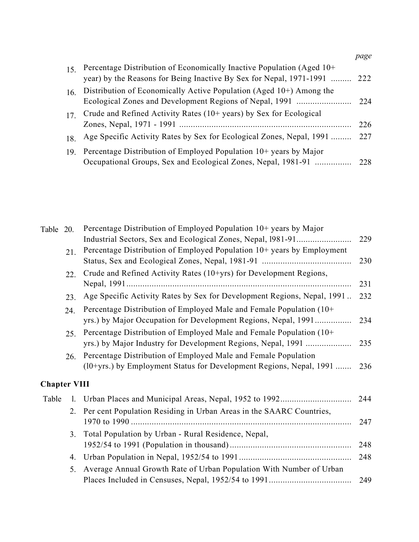|                 |                                                                           | page |
|-----------------|---------------------------------------------------------------------------|------|
| 15 <sup>7</sup> | Percentage Distribution of Economically Inactive Population (Aged 10+     |      |
|                 | year) by the Reasons for Being Inactive By Sex for Nepal, 1971-1991  222  |      |
| 16.             | Distribution of Economically Active Population (Aged 10+) Among the       |      |
|                 |                                                                           |      |
|                 | Crude and Refined Activity Rates (10+ years) by Sex for Ecological        |      |
|                 |                                                                           | -226 |
| 18.             | Age Specific Activity Rates by Sex for Ecological Zones, Nepal, 1991  227 |      |
| 19 <sub>1</sub> | Percentage Distribution of Employed Population 10+ years by Major         |      |
|                 | Occupational Groups, Sex and Ecological Zones, Nepal, 1981-91  228        |      |

| Table 20.           |     | Percentage Distribution of Employed Population 10+ years by Major                                                                     |     |
|---------------------|-----|---------------------------------------------------------------------------------------------------------------------------------------|-----|
|                     |     |                                                                                                                                       | 229 |
|                     | 21. | Percentage Distribution of Employed Population 10+ years by Employment                                                                |     |
|                     |     |                                                                                                                                       | 230 |
|                     | 22. | Crude and Refined Activity Rates (10+yrs) for Development Regions,                                                                    | 231 |
|                     | 23. | Age Specific Activity Rates by Sex for Development Regions, Nepal, 1991                                                               | 232 |
|                     | 24. | Percentage Distribution of Employed Male and Female Population (10+<br>yrs.) by Major Occupation for Development Regions, Nepal, 1991 | 234 |
|                     | 25. | Percentage Distribution of Employed Male and Female Population (10+<br>yrs.) by Major Industry for Development Regions, Nepal, 1991   | 235 |
|                     | 26. | Percentage Distribution of Employed Male and Female Population<br>(10+yrs.) by Employment Status for Development Regions, Nepal, 1991 | 236 |
| <b>Chapter VIII</b> |     |                                                                                                                                       |     |
| Table               | 1.  |                                                                                                                                       |     |
|                     | 2.  | Per cent Population Residing in Urban Areas in the SAARC Countries,                                                                   | 247 |
|                     | 3.  | Total Population by Urban - Rural Residence, Nepal,                                                                                   | 248 |
|                     | 4.  |                                                                                                                                       | 248 |
|                     | 5.  | Average Annual Growth Rate of Urban Population With Number of Urban                                                                   | 249 |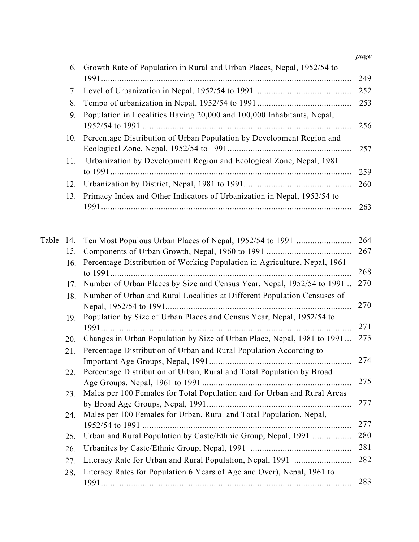|           | 6.  | Growth Rate of Population in Rural and Urban Places, Nepal, 1952/54 to    |
|-----------|-----|---------------------------------------------------------------------------|
|           | 7.  |                                                                           |
|           | 8.  |                                                                           |
|           | 9.  | Population in Localities Having 20,000 and 100,000 Inhabitants, Nepal,    |
|           | 10. | Percentage Distribution of Urban Population by Development Region and     |
|           | 11. | Urbanization by Development Region and Ecological Zone, Nepal, 1981       |
|           | 12. |                                                                           |
|           | 13. | Primacy Index and Other Indicators of Urbanization in Nepal, 1952/54 to   |
| Table 14. |     | Ten Most Populous Urban Places of Nepal, 1952/54 to 1991                  |
|           | 15. |                                                                           |
|           | 16. | Percentage Distribution of Working Population in Agriculture, Nepal, 1961 |
|           | 17. | Number of Urban Places by Size and Census Year, Nepal, 1952/54 to 1991    |
|           | 18. | Number of Urban and Rural Localities at Different Population Censuses of  |
|           | 19. | Population by Size of Urban Places and Census Year, Nepal, 1952/54 to     |
|           | 20. | Changes in Urban Population by Size of Urban Place, Nepal, 1981 to 1991   |
|           | 21. | Percentage Distribution of Urban and Rural Population According to        |
|           | 22. | Percentage Distribution of Urban, Rural and Total Population by Broad     |
|           | 23. | Males per 100 Females for Total Population and for Urban and Rural Areas  |
|           | 24. | Males per 100 Females for Urban, Rural and Total Population, Nepal,       |
|           | 25. | Urban and Rural Population by Caste/Ethnic Group, Nepal, 1991             |
|           | 26. |                                                                           |
|           | 27. | Literacy Rate for Urban and Rural Population, Nepal, 1991                 |
|           | 28. | Literacy Rates for Population 6 Years of Age and Over), Nepal, 1961 to    |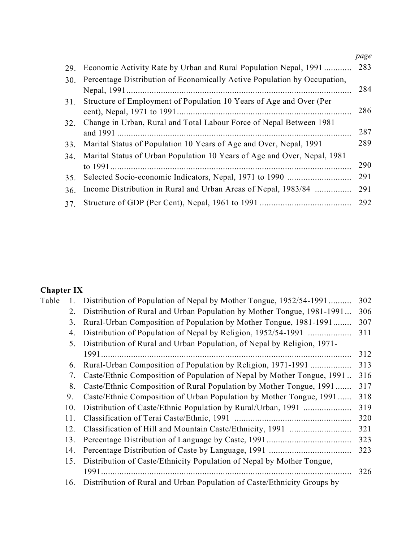|            |                                                                          | page |
|------------|--------------------------------------------------------------------------|------|
| 29.        | Economic Activity Rate by Urban and Rural Population Nepal, 1991         | 283  |
| <b>30.</b> | Percentage Distribution of Economically Active Population by Occupation, | 284  |
| 31.        | Structure of Employment of Population 10 Years of Age and Over (Per      | 286  |
| 32.        | Change in Urban, Rural and Total Labour Force of Nepal Between 1981      | 287  |
| 33.        | Marital Status of Population 10 Years of Age and Over, Nepal, 1991       | 289  |
| 34.        | Marital Status of Urban Population 10 Years of Age and Over, Nepal, 1981 | 290  |
| 35.        |                                                                          | 291  |
| 36.        | Income Distribution in Rural and Urban Areas of Nepal, 1983/84           | 291  |
| 37.        |                                                                          | 292  |

## Chapter IX

| Table |     | Distribution of Population of Nepal by Mother Tongue, 1952/54-1991      | 302 |
|-------|-----|-------------------------------------------------------------------------|-----|
|       | 2.  | Distribution of Rural and Urban Population by Mother Tongue, 1981-1991  | 306 |
|       | 3.  | Rural-Urban Composition of Population by Mother Tongue, 1981-1991       | 307 |
|       | 4.  | Distribution of Population of Nepal by Religion, 1952/54-1991           | 311 |
|       | 5.  | Distribution of Rural and Urban Population, of Nepal by Religion, 1971- |     |
|       |     |                                                                         | 312 |
|       | 6.  | Rural-Urban Composition of Population by Religion, 1971-1991            | 313 |
|       | 7.  | Caste/Ethnic Composition of Population of Nepal by Mother Tongue, 1991  | 316 |
|       | 8.  | Caste/Ethnic Composition of Rural Population by Mother Tongue, 1991     | 317 |
|       | 9.  | Caste/Ethnic Composition of Urban Population by Mother Tongue, 1991     | 318 |
|       | 10. | Distribution of Caste/Ethnic Population by Rural/Urban, 1991            | 319 |
|       | 11. |                                                                         | 320 |
|       | 12. |                                                                         | 321 |
|       | 13. |                                                                         | 323 |
|       | 14. |                                                                         | 323 |
|       | 15. | Distribution of Caste/Ethnicity Population of Nepal by Mother Tongue,   |     |
|       |     |                                                                         | 326 |
|       | 16. | Distribution of Rural and Urban Population of Caste/Ethnicity Groups by |     |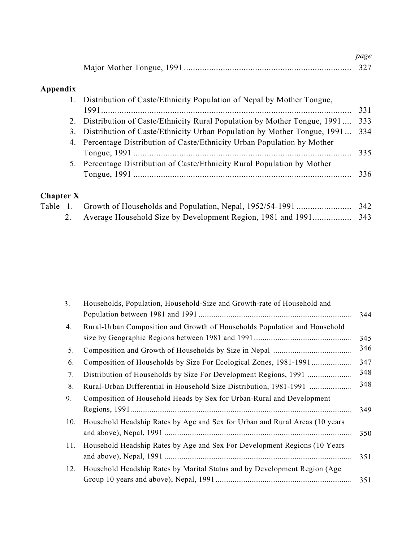| page |
|------|
|      |

## Appendix

|        | 1. Distribution of Caste/Ethnicity Population of Nepal by Mother Tongue,   |     |
|--------|----------------------------------------------------------------------------|-----|
|        |                                                                            | 331 |
|        | 2. Distribution of Caste/Ethnicity Rural Population by Mother Tongue, 1991 | 333 |
| 3.     | Distribution of Caste/Ethnicity Urban Population by Mother Tongue, 1991    | 334 |
|        | 4. Percentage Distribution of Caste/Ethnicity Urban Population by Mother   |     |
|        |                                                                            |     |
|        | 5. Percentage Distribution of Caste/Ethnicity Rural Population by Mother   |     |
|        |                                                                            |     |
|        |                                                                            |     |
| ter X- |                                                                            |     |

# Chapter X<br>Table 1.

| $\mu$ apter $\Lambda$ |  |  |
|-----------------------|--|--|
|                       |  |  |
|                       |  |  |

| 3.  | Households, Population, Household-Size and Growth-rate of Household and     |     |
|-----|-----------------------------------------------------------------------------|-----|
|     |                                                                             | 344 |
| 4.  | Rural-Urban Composition and Growth of Households Population and Household   |     |
|     |                                                                             | 345 |
| 5.  |                                                                             | 346 |
| 6.  | Composition of Households by Size For Ecological Zones, 1981-1991           | 347 |
| 7.  |                                                                             | 348 |
| 8.  | Rural-Urban Differential in Household Size Distribution, 1981-1991          | 348 |
| 9.  | Composition of Household Heads by Sex for Urban-Rural and Development       |     |
|     |                                                                             | 349 |
| 10. | Household Headship Rates by Age and Sex for Urban and Rural Areas (10 years |     |
|     |                                                                             | 350 |
| 11. | Household Headship Rates by Age and Sex For Development Regions (10 Years   |     |
|     |                                                                             | 351 |
| 12. | Household Headship Rates by Marital Status and by Development Region (Age   |     |
|     |                                                                             | 351 |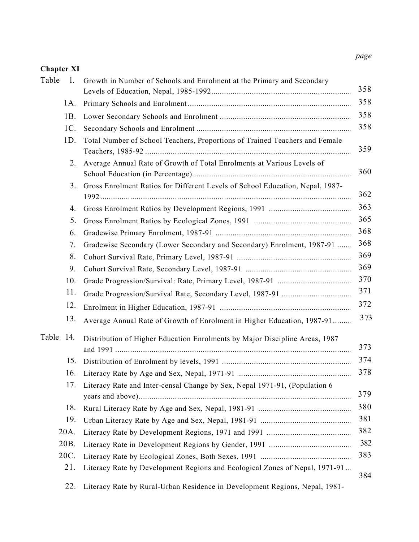### Chapter XI

| Table        | 1.<br>Growth in Number of Schools and Enrolment at the Primary and Secondary        |
|--------------|-------------------------------------------------------------------------------------|
|              |                                                                                     |
|              | 1A.                                                                                 |
| 1B.          |                                                                                     |
|              | 1C.                                                                                 |
| 1D.          | Total Number of School Teachers, Proportions of Trained Teachers and Female         |
|              | Average Annual Rate of Growth of Total Enrolments at Various Levels of<br>2.        |
|              | Gross Enrolment Ratios for Different Levels of School Education, Nepal, 1987-<br>3. |
|              | 4.                                                                                  |
|              | 5.                                                                                  |
|              | 6.                                                                                  |
|              | Gradewise Secondary (Lower Secondary and Secondary) Enrolment, 1987-91<br>7.        |
|              | 8.                                                                                  |
|              | 9.                                                                                  |
|              | 10.                                                                                 |
|              | 11.                                                                                 |
|              | 12.                                                                                 |
|              | 13.<br>Average Annual Rate of Growth of Enrolment in Higher Education, 1987-91      |
| Table<br>14. | Distribution of Higher Education Enrolments by Major Discipline Areas, 1987         |
|              | 15.                                                                                 |
|              | 16.                                                                                 |
|              | Literacy Rate and Inter-censal Change by Sex, Nepal 1971-91, (Population 6<br>17.   |
|              | 18.                                                                                 |
|              | 19.                                                                                 |
| 20A.         |                                                                                     |
| 20B.         |                                                                                     |
| 20C.         |                                                                                     |
| 21.          | Literacy Rate by Development Regions and Ecological Zones of Nepal, 1971-91         |
|              | 22.<br>Literacy Rate by Rural-Urban Residence in Development Regions, Nepal, 1981-  |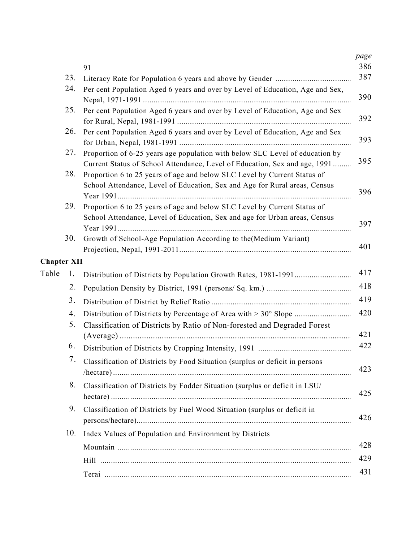|       |                    | 91                                                                                                                                                         |
|-------|--------------------|------------------------------------------------------------------------------------------------------------------------------------------------------------|
|       | 23.                |                                                                                                                                                            |
|       | 24.                | Per cent Population Aged 6 years and over by Level of Education, Age and Sex,                                                                              |
|       | 25.                | Per cent Population Aged 6 years and over by Level of Education, Age and Sex                                                                               |
|       | 26.                | Per cent Population Aged 6 years and over by Level of Education, Age and Sex                                                                               |
|       | 27.                | Proportion of 6-25 years age population with below SLC Level of education by<br>Current Status of School Attendance, Level of Education, Sex and age, 1991 |
|       | 28.                | Proportion 6 to 25 years of age and below SLC Level by Current Status of                                                                                   |
|       |                    | School Attendance, Level of Education, Sex and Age for Rural areas, Census                                                                                 |
|       | 29.                | Proportion 6 to 25 years of age and below SLC Level by Current Status of<br>School Attendance, Level of Education, Sex and age for Urban areas, Census     |
|       | 30.                | Growth of School-Age Population According to the (Medium Variant)                                                                                          |
|       | <b>Chapter XII</b> |                                                                                                                                                            |
| Table | 1.                 |                                                                                                                                                            |
|       | 2.                 |                                                                                                                                                            |
|       | 3.                 |                                                                                                                                                            |
|       | 4.                 | Distribution of Districts by Percentage of Area with > 30° Slope                                                                                           |
|       | 5.                 | Classification of Districts by Ratio of Non-forested and Degraded Forest                                                                                   |
|       |                    |                                                                                                                                                            |
|       | 6.                 |                                                                                                                                                            |
|       | 7.                 | Classification of Districts by Food Situation (surplus or deficit in persons                                                                               |
|       | 8.                 | Classification of Districts by Fodder Situation (surplus or deficit in LSU/                                                                                |
|       | 9.                 | Classification of Districts by Fuel Wood Situation (surplus or deficit in                                                                                  |
|       | 10.                | Index Values of Population and Environment by Districts                                                                                                    |
|       |                    |                                                                                                                                                            |
|       |                    |                                                                                                                                                            |
|       |                    |                                                                                                                                                            |
|       |                    |                                                                                                                                                            |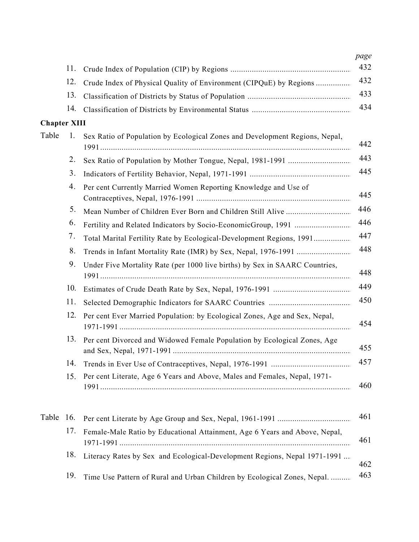|                     | 11. |                                                                             |
|---------------------|-----|-----------------------------------------------------------------------------|
|                     | 12. | Crude Index of Physical Quality of Environment (CIPQuE) by Regions          |
|                     | 13. |                                                                             |
|                     | 14. |                                                                             |
| <b>Chapter XIII</b> |     |                                                                             |
| Table               | 1.  | Sex Ratio of Population by Ecological Zones and Development Regions, Nepal, |
|                     | 2.  |                                                                             |
|                     | 3.  |                                                                             |
|                     | 4.  | Per cent Currently Married Women Reporting Knowledge and Use of             |
|                     | 5.  |                                                                             |
|                     | 6.  |                                                                             |
|                     | 7.  | Total Marital Fertility Rate by Ecological-Development Regions, 1991        |
|                     | 8.  |                                                                             |
|                     | 9.  | Under Five Mortality Rate (per 1000 live births) by Sex in SAARC Countries, |
|                     | 10. |                                                                             |
|                     | 11. |                                                                             |
|                     | 12. | Per cent Ever Married Population: by Ecological Zones, Age and Sex, Nepal,  |
|                     | 13. | Per cent Divorced and Widowed Female Population by Ecological Zones, Age    |
|                     | 14. |                                                                             |
|                     | 15. | Per cent Literate, Age 6 Years and Above, Males and Females, Nepal, 1971-   |
| Table               | 16. |                                                                             |
|                     | 17. | Female-Male Ratio by Educational Attainment, Age 6 Years and Above, Nepal,  |
|                     | 18. | Literacy Rates by Sex and Ecological-Development Regions, Nepal 1971-1991   |
|                     | 19. | Time Use Pattern of Rural and Urban Children by Ecological Zones, Nepal.    |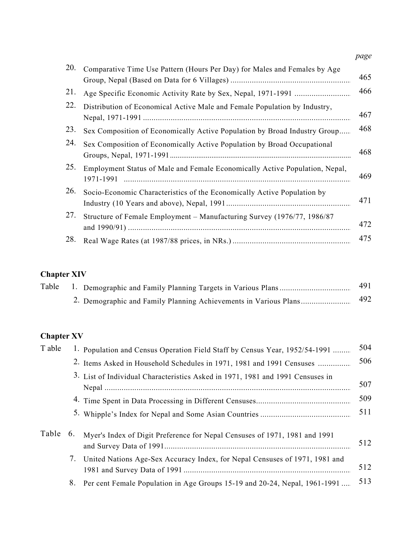|     |                                                                                          | page |
|-----|------------------------------------------------------------------------------------------|------|
| 20. | Comparative Time Use Pattern (Hours Per Day) for Males and Females by Age                | 465  |
| 21. |                                                                                          | 466  |
| 22. | Distribution of Economical Active Male and Female Population by Industry,                | 467  |
| 23. | Sex Composition of Economically Active Population by Broad Industry Group                | 468  |
| 24. | Sex Composition of Economically Active Population by Broad Occupational                  | 468  |
| 25. | Employment Status of Male and Female Economically Active Population, Nepal,<br>1971-1991 | 469  |
| 26. | Socio-Economic Characteristics of the Economically Active Population by                  | 471  |
| 27. | Structure of Female Employment – Manufacturing Survey (1976/77, 1986/87)                 | 472  |
| 28. |                                                                                          | 475  |

# Chapter XIV

| Table |  | 491 |
|-------|--|-----|
|       |  | 492 |

### Chapter XV

| T able |    | 1. Population and Census Operation Field Staff by Census Year, 1952/54-1991    | 504 |
|--------|----|--------------------------------------------------------------------------------|-----|
|        |    | 2. Items Asked in Household Schedules in 1971, 1981 and 1991 Censuses          | 506 |
|        |    | 3. List of Individual Characteristics Asked in 1971, 1981 and 1991 Censuses in | 507 |
|        |    |                                                                                | 509 |
|        |    |                                                                                | 511 |
| Table  | 6. | Myer's Index of Digit Preference for Nepal Censuses of 1971, 1981 and 1991     | 512 |
|        |    | 7. United Nations Age-Sex Accuracy Index, for Nepal Censuses of 1971, 1981 and | 512 |
|        | 8. | Per cent Female Population in Age Groups 15-19 and 20-24, Nepal, 1961-1991     | 513 |